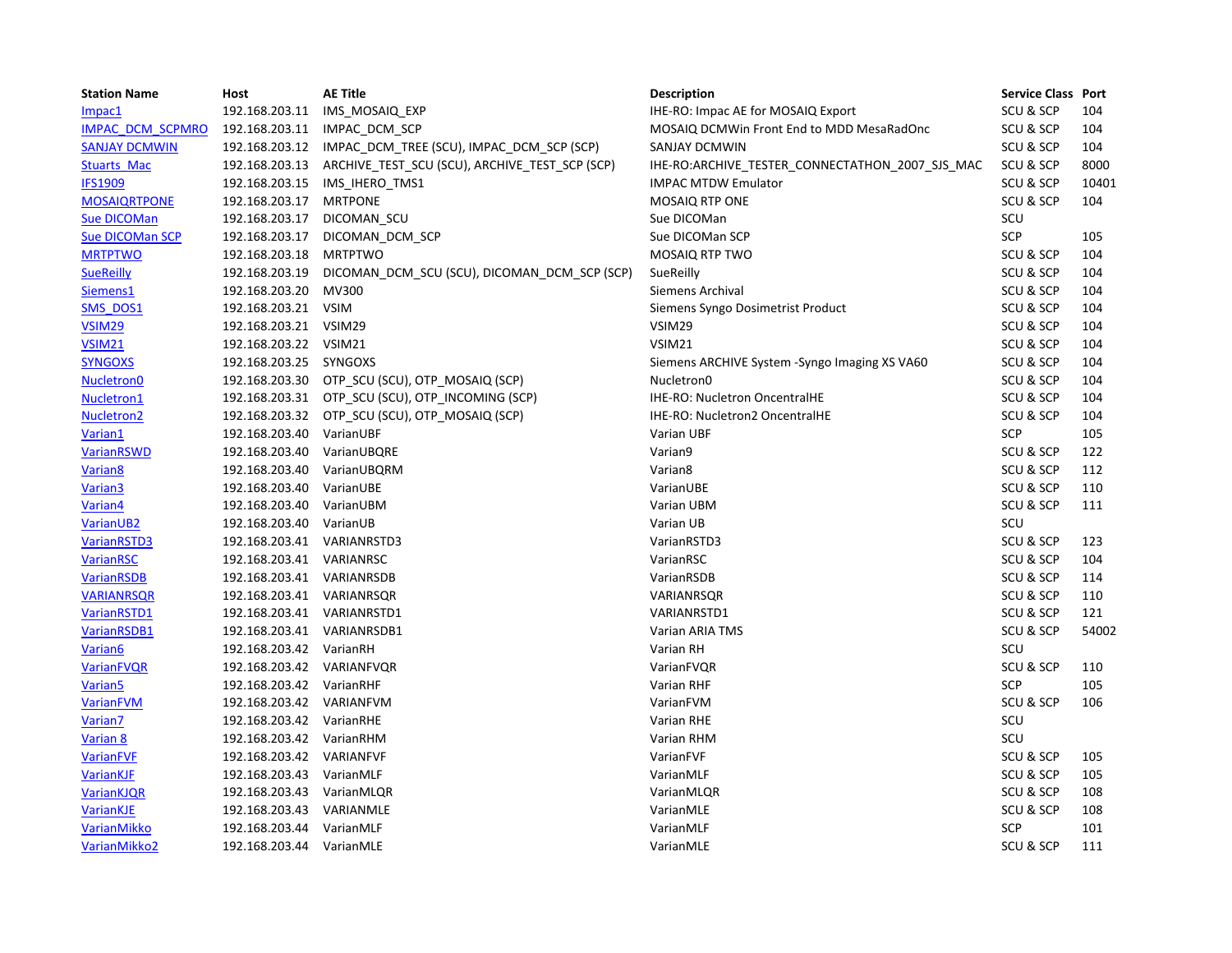| <b>Station Name</b>     | Host                       | <b>AE Title</b>                                          | <b>Description</b>                              | <b>Service Class Port</b> |       |
|-------------------------|----------------------------|----------------------------------------------------------|-------------------------------------------------|---------------------------|-------|
| Impac1                  | 192.168.203.11             | IMS_MOSAIQ_EXP                                           | IHE-RO: Impac AE for MOSAIQ Export              | SCU & SCP                 | 104   |
| <b>IMPAC DCM SCPMRO</b> | 192.168.203.11             | IMPAC DCM SCP                                            | MOSAIQ DCMWin Front End to MDD MesaRadOnc       | SCU & SCP                 | 104   |
| <b>SANJAY DCMWIN</b>    |                            | 192.168.203.12 IMPAC DCM TREE (SCU), IMPAC DCM SCP (SCP) | SANJAY DCMWIN                                   | SCU & SCP                 | 104   |
| <b>Stuarts Mac</b>      | 192.168.203.13             | ARCHIVE_TEST_SCU (SCU), ARCHIVE_TEST_SCP (SCP)           | IHE-RO:ARCHIVE_TESTER_CONNECTATHON_2007_SJS_MAC | SCU & SCP                 | 8000  |
| <b>IFS1909</b>          | 192.168.203.15             | IMS IHERO TMS1                                           | <b>IMPAC MTDW Emulator</b>                      | SCU & SCP                 | 10401 |
| <b>MOSAIQRTPONE</b>     | 192.168.203.17             | <b>MRTPONE</b>                                           | <b>MOSAIQ RTP ONE</b>                           | SCU & SCP                 | 104   |
| <b>Sue DICOMan</b>      | 192.168.203.17             | DICOMAN SCU                                              | Sue DICOMan                                     | SCU                       |       |
| <b>Sue DICOMan SCP</b>  | 192.168.203.17             | DICOMAN_DCM_SCP                                          | Sue DICOMan SCP                                 | <b>SCP</b>                | 105   |
| <b>MRTPTWO</b>          | 192.168.203.18             | <b>MRTPTWO</b>                                           | MOSAIQ RTP TWO                                  | SCU & SCP                 | 104   |
| <b>SueReilly</b>        | 192.168.203.19             | DICOMAN DCM SCU (SCU), DICOMAN DCM SCP (SCP)             | SueReilly                                       | SCU & SCP                 | 104   |
| Siemens1                | 192.168.203.20             | MV300                                                    | Siemens Archival                                | SCU & SCP                 | 104   |
| SMS DOS1                | 192.168.203.21             | <b>VSIM</b>                                              | Siemens Syngo Dosimetrist Product               | SCU & SCP                 | 104   |
| VSIM <sub>29</sub>      | 192.168.203.21 VSIM29      |                                                          | VSIM29                                          | SCU & SCP                 | 104   |
| <b>VSIM21</b>           | 192.168.203.22 VSIM21      |                                                          | VSIM21                                          | SCU & SCP                 | 104   |
| <b>SYNGOXS</b>          | 192.168.203.25 SYNGOXS     |                                                          | Siemens ARCHIVE System - Syngo Imaging XS VA60  | SCU & SCP                 | 104   |
| Nucletron <sub>0</sub>  |                            | 192.168.203.30 OTP_SCU (SCU), OTP_MOSAIQ (SCP)           | Nucletron0                                      | SCU & SCP                 | 104   |
| Nucletron1              |                            | 192.168.203.31 OTP SCU (SCU), OTP INCOMING (SCP)         | IHE-RO: Nucletron OncentralHE                   | SCU & SCP                 | 104   |
| Nucletron <sub>2</sub>  |                            | 192.168.203.32 OTP_SCU (SCU), OTP_MOSAIQ (SCP)           | IHE-RO: Nucletron2 OncentralHE                  | SCU & SCP                 | 104   |
| Varian <sub>1</sub>     | 192.168.203.40             | VarianUBF                                                | Varian UBF                                      | <b>SCP</b>                | 105   |
| <b>VarianRSWD</b>       | 192.168.203.40             | VarianUBQRE                                              | Varian9                                         | SCU & SCP                 | 122   |
| Varian <sub>8</sub>     | 192.168.203.40             | VarianUBQRM                                              | Varian8                                         | SCU & SCP                 | 112   |
| Varian3                 | 192.168.203.40             | VarianUBE                                                | VarianUBE                                       | SCU & SCP                 | 110   |
| Varian4                 | 192.168.203.40             | VarianUBM                                                | Varian UBM                                      | SCU & SCP                 | 111   |
| VarianUB2               | 192.168.203.40             | VarianUB                                                 | Varian UB                                       | SCU                       |       |
| <b>VarianRSTD3</b>      | 192.168.203.41 VARIANRSTD3 |                                                          | VarianRSTD3                                     | SCU & SCP                 | 123   |
| <b>VarianRSC</b>        | 192.168.203.41 VARIANRSC   |                                                          | VarianRSC                                       | SCU & SCP                 | 104   |
| <b>VarianRSDB</b>       | 192.168.203.41 VARIANRSDB  |                                                          | VarianRSDB                                      | SCU & SCP                 | 114   |
| <b>VARIANRSQR</b>       | 192.168.203.41 VARIANRSQR  |                                                          | VARIANRSQR                                      | SCU & SCP                 | 110   |
| VarianRSTD1             | 192.168.203.41 VARIANRSTD1 |                                                          | VARIANRSTD1                                     | SCU & SCP                 | 121   |
| VarianRSDB1             | 192.168.203.41 VARIANRSDB1 |                                                          | Varian ARIA TMS                                 | SCU & SCP                 | 54002 |
| Varian <sub>6</sub>     | 192.168.203.42 VarianRH    |                                                          | Varian RH                                       | SCU                       |       |
| <b>VarianFVQR</b>       | 192.168.203.42 VARIANFVQR  |                                                          | VarianFVQR                                      | SCU & SCP                 | 110   |
| Varian <sub>5</sub>     | 192.168.203.42 VarianRHF   |                                                          | Varian RHF                                      | <b>SCP</b>                | 105   |
| <b>VarianFVM</b>        | 192.168.203.42 VARIANFVM   |                                                          | VarianFVM                                       | SCU & SCP                 | 106   |
| Varian7                 | 192.168.203.42 VarianRHE   |                                                          | Varian RHE                                      | SCU                       |       |
| <b>Varian 8</b>         | 192.168.203.42 VarianRHM   |                                                          | Varian RHM                                      | SCU                       |       |
| <b>VarianFVF</b>        | 192.168.203.42 VARIANFVF   |                                                          | VarianFVF                                       | SCU & SCP                 | 105   |
| <b>VarianKJF</b>        | 192.168.203.43             | VarianMLF                                                | VarianMLF                                       | SCU & SCP                 | 105   |
| <b>VarianKJQR</b>       | 192.168.203.43             | VarianMLQR                                               | VarianMLQR                                      | SCU & SCP                 | 108   |
| <b>VarianKJE</b>        | 192.168.203.43             | VARIANMLE                                                | VarianMLE                                       | SCU & SCP                 | 108   |
| <b>VarianMikko</b>      | 192.168.203.44             | VarianMLF                                                | VarianMLF                                       | SCP                       | 101   |
| VarianMikko2            | 192.168.203.44 VarianMLE   |                                                          | VarianMLE                                       | SCU & SCP                 | 111   |